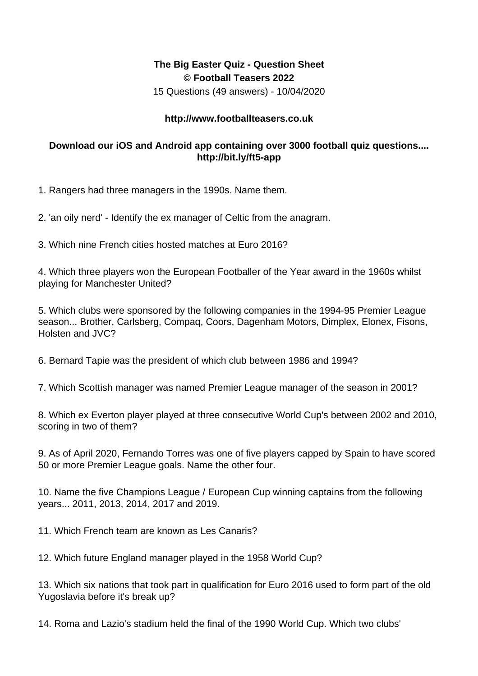## **The Big Easter Quiz - Question Sheet © Football Teasers 2022**

15 Questions (49 answers) - 10/04/2020

## **http://www.footballteasers.co.uk**

## **Download our iOS and Android app containing over 3000 football quiz questions.... http://bit.ly/ft5-app**

1. Rangers had three managers in the 1990s. Name them.

2. 'an oily nerd' - Identify the ex manager of Celtic from the anagram.

3. Which nine French cities hosted matches at Euro 2016?

4. Which three players won the European Footballer of the Year award in the 1960s whilst playing for Manchester United?

5. Which clubs were sponsored by the following companies in the 1994-95 Premier League season... Brother, Carlsberg, Compaq, Coors, Dagenham Motors, Dimplex, Elonex, Fisons, Holsten and JVC?

6. Bernard Tapie was the president of which club between 1986 and 1994?

7. Which Scottish manager was named Premier League manager of the season in 2001?

8. Which ex Everton player played at three consecutive World Cup's between 2002 and 2010, scoring in two of them?

9. As of April 2020, Fernando Torres was one of five players capped by Spain to have scored 50 or more Premier League goals. Name the other four.

10. Name the five Champions League / European Cup winning captains from the following years... 2011, 2013, 2014, 2017 and 2019.

11. Which French team are known as Les Canaris?

12. Which future England manager played in the 1958 World Cup?

13. Which six nations that took part in qualification for Euro 2016 used to form part of the old Yugoslavia before it's break up?

14. Roma and Lazio's stadium held the final of the 1990 World Cup. Which two clubs'